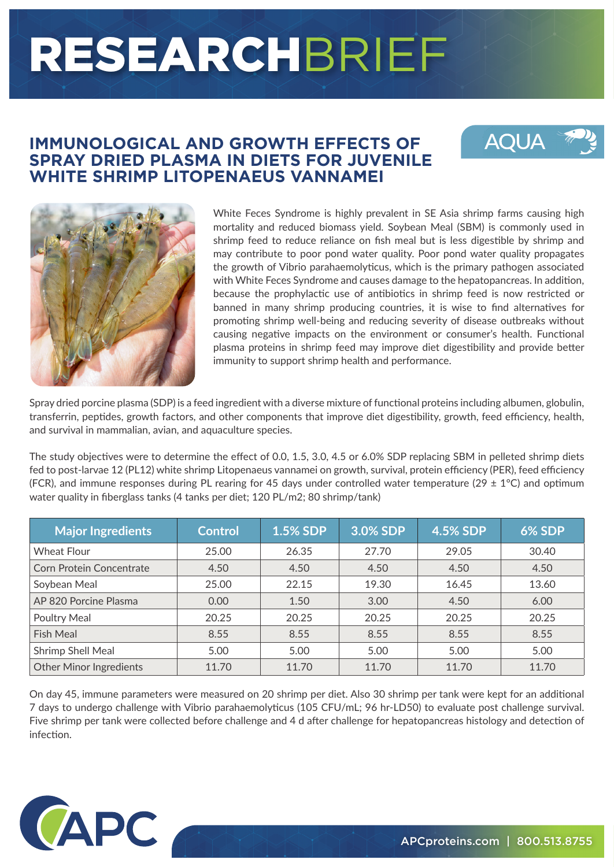# RESEARCHBRIEF

#### **IMMUNOLOGICAL AND GROWTH EFFECTS OF SPRAY DRIED PLASMA IN DIETS FOR JUVENILE WHITE SHRIMP LITOPENAEUS VANNAMEI**





White Feces Syndrome is highly prevalent in SE Asia shrimp farms causing high mortality and reduced biomass yield. Soybean Meal (SBM) is commonly used in shrimp feed to reduce reliance on fish meal but is less digestible by shrimp and may contribute to poor pond water quality. Poor pond water quality propagates the growth of Vibrio parahaemolyticus, which is the primary pathogen associated with White Feces Syndrome and causes damage to the hepatopancreas. In addition, because the prophylactic use of antibiotics in shrimp feed is now restricted or banned in many shrimp producing countries, it is wise to find alternatives for promoting shrimp well-being and reducing severity of disease outbreaks without causing negative impacts on the environment or consumer's health. Functional plasma proteins in shrimp feed may improve diet digestibility and provide better immunity to support shrimp health and performance.

Spray dried porcine plasma (SDP) is a feed ingredient with a diverse mixture of functional proteins including albumen, globulin, transferrin, peptides, growth factors, and other components that improve diet digestibility, growth, feed efficiency, health, and survival in mammalian, avian, and aquaculture species.

The study objectives were to determine the effect of 0.0, 1.5, 3.0, 4.5 or 6.0% SDP replacing SBM in pelleted shrimp diets fed to post-larvae 12 (PL12) white shrimp Litopenaeus vannamei on growth, survival, protein efficiency (PER), feed efficiency (FCR), and immune responses during PL rearing for 45 days under controlled water temperature (29  $\pm$  1°C) and optimum water quality in fiberglass tanks (4 tanks per diet; 120 PL/m2; 80 shrimp/tank)

| <b>Major Ingredients</b>        | <b>Control</b> | <b>1.5% SDP</b> | 3.0% SDP | <b>4.5% SDP</b> | <b>6% SDP</b> |
|---------------------------------|----------------|-----------------|----------|-----------------|---------------|
| <b>Wheat Flour</b>              | 25.00          | 26.35           | 27.70    | 29.05           | 30.40         |
| <b>Corn Protein Concentrate</b> | 4.50           | 4.50            | 4.50     | 4.50            | 4.50          |
| Soybean Meal                    | 25.00          | 22.15           | 19.30    | 16.45           | 13.60         |
| AP 820 Porcine Plasma           | 0.00           | 1.50            | 3.00     | 4.50            | 6.00          |
| Poultry Meal                    | 20.25          | 20.25           | 20.25    | 20.25           | 20.25         |
| <b>Fish Meal</b>                | 8.55           | 8.55            | 8.55     | 8.55            | 8.55          |
| Shrimp Shell Meal               | 5.00           | 5.00            | 5.00     | 5.00            | 5.00          |
| <b>Other Minor Ingredients</b>  | 11.70          | 11.70           | 11.70    | 11.70           | 11.70         |

On day 45, immune parameters were measured on 20 shrimp per diet. Also 30 shrimp per tank were kept for an additional 7 days to undergo challenge with Vibrio parahaemolyticus (105 CFU/mL; 96 hr-LD50) to evaluate post challenge survival. Five shrimp per tank were collected before challenge and 4 d after challenge for hepatopancreas histology and detection of infection.